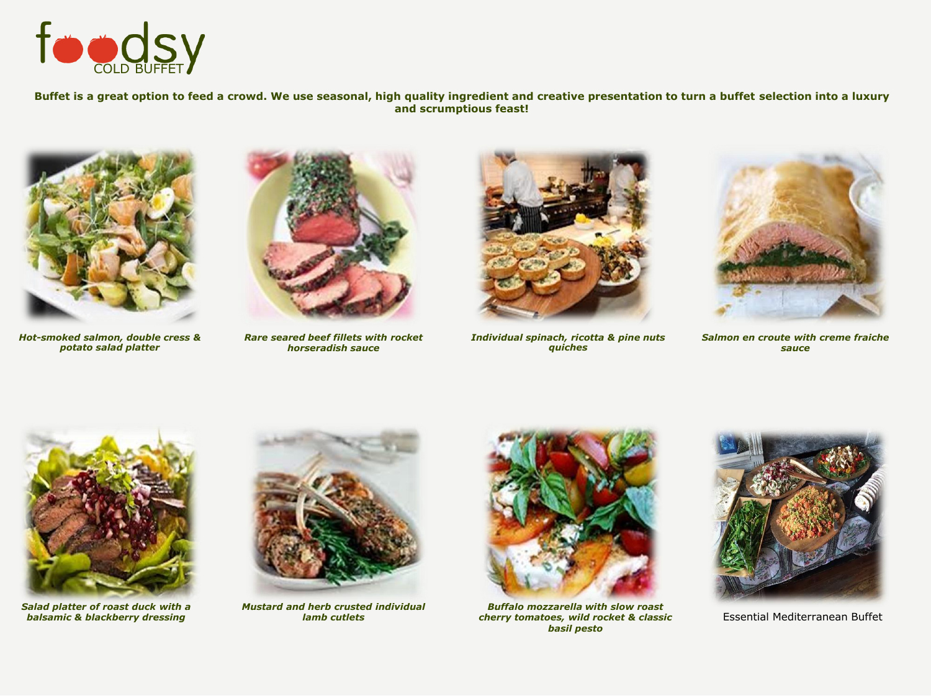

**Buffet is a great option to feed a crowd. We use seasonal, high quality ingredient and creative presentation to turn a buffet selection into a luxury and scrumptious feast!** 



*Hot-smoked salmon, double cress & potato salad platter*



*Rare seared beef fillets with rocket horseradish sauce*



*Individual spinach, ricotta & pine nuts quiches*



*Salmon en croute with creme fraiche sauce* 



*Salad platter of roast duck with a balsamic & blackberry dressing*



*Mustard and herb crusted individual lamb cutlets* 



*Buffalo mozzarella with slow roast cherry tomatoes, wild rocket & classic basil pesto*



Essential Mediterranean Buffet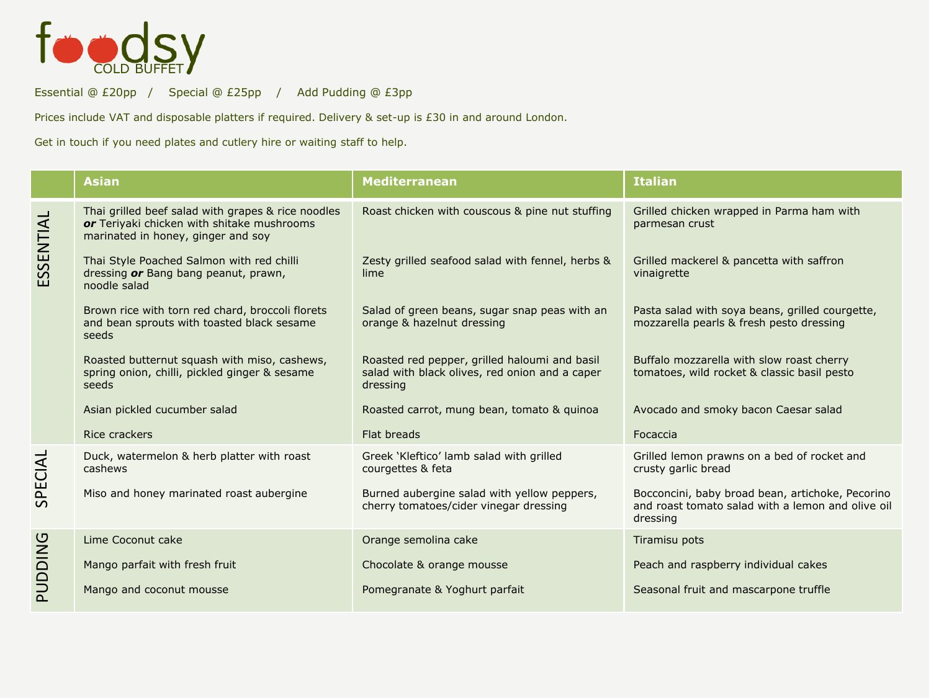

Essential @ £20pp / Special @ £25pp / Add Pudding @ £3pp

Prices include VAT and disposable platters if required. Delivery & set-up is £30 in and around London.

Get in touch if you need plates and cutlery hire or waiting staff to help.

|           | <b>Asian</b>                                                                                                                           | <b>Mediterranean</b>                                                                                        | <b>Italian</b>                                                                                                    |
|-----------|----------------------------------------------------------------------------------------------------------------------------------------|-------------------------------------------------------------------------------------------------------------|-------------------------------------------------------------------------------------------------------------------|
| ESSENTIAL | Thai grilled beef salad with grapes & rice noodles<br>or Teriyaki chicken with shitake mushrooms<br>marinated in honey, ginger and soy | Roast chicken with couscous & pine nut stuffing                                                             | Grilled chicken wrapped in Parma ham with<br>parmesan crust                                                       |
|           | Thai Style Poached Salmon with red chilli<br>dressing or Bang bang peanut, prawn,<br>noodle salad                                      | Zesty grilled seafood salad with fennel, herbs &<br>lime                                                    | Grilled mackerel & pancetta with saffron<br>vinaigrette                                                           |
|           | Brown rice with torn red chard, broccoli florets<br>and bean sprouts with toasted black sesame<br>seeds                                | Salad of green beans, sugar snap peas with an<br>orange & hazelnut dressing                                 | Pasta salad with soya beans, grilled courgette,<br>mozzarella pearls & fresh pesto dressing                       |
|           | Roasted butternut squash with miso, cashews,<br>spring onion, chilli, pickled ginger & sesame<br>seeds                                 | Roasted red pepper, grilled haloumi and basil<br>salad with black olives, red onion and a caper<br>dressing | Buffalo mozzarella with slow roast cherry<br>tomatoes, wild rocket & classic basil pesto                          |
|           | Asian pickled cucumber salad                                                                                                           | Roasted carrot, mung bean, tomato & guinoa                                                                  | Avocado and smoky bacon Caesar salad                                                                              |
|           | Rice crackers                                                                                                                          | Flat breads                                                                                                 | Focaccia                                                                                                          |
| SPECIAL   | Duck, watermelon & herb platter with roast<br>cashews                                                                                  | Greek 'Kleftico' lamb salad with grilled<br>courgettes & feta                                               | Grilled lemon prawns on a bed of rocket and<br>crusty garlic bread                                                |
|           | Miso and honey marinated roast aubergine                                                                                               | Burned aubergine salad with yellow peppers,<br>cherry tomatoes/cider vinegar dressing                       | Bocconcini, baby broad bean, artichoke, Pecorino<br>and roast tomato salad with a lemon and olive oil<br>dressing |
| PUDDING   | Lime Coconut cake                                                                                                                      | Orange semolina cake                                                                                        | Tiramisu pots                                                                                                     |
|           | Mango parfait with fresh fruit                                                                                                         | Chocolate & orange mousse                                                                                   | Peach and raspberry individual cakes                                                                              |
|           | Mango and coconut mousse                                                                                                               | Pomegranate & Yoghurt parfait                                                                               | Seasonal fruit and mascarpone truffle                                                                             |